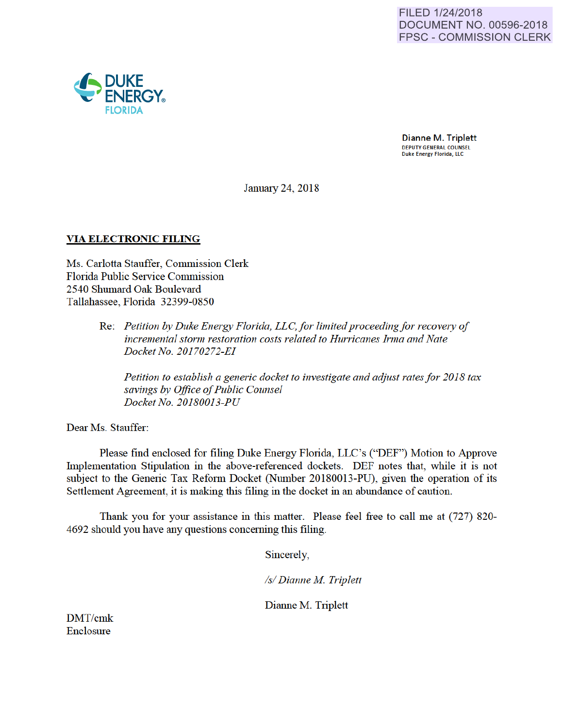

Duke Energy Florida, LLC

January 24, 2018

## VIA ELECTRONIC FILING

 $J^*$  ENERGY. FLORIDA

**DUKE** 

Ms. Carlotta Stauffer, Commission Clerk Florida Public Service Commission 2540 Shumard Oak Boulevard Tallahassee, Florida 32399-0850

> Re: *Petition by Duke Energy Florida, LLC,for limited proceeding for recovery of incremental storm restoration costs related to Hurricanes Irma and Nate Docket No. 20170272-EI*

*Petition to establish a generic docket to investigate and adjust rates for 2018 tax savings by Office of Public Counsel Docket No. 20180013-PU* 

Dear Ms. Stauffer:

Please find enclosed for filing Duke Energy Florida, LLC's ("DEF") Motion to Approve Implementation Stipulation in the above-referenced dockets. DEF notes that, while it is not subject to the Generic Tax Reform Docket (Number 20180013-PU), given the operation of its Settlement Agreement, it is making this filing in the docket in an abundance of caution.

Thank you for your assistance in this matter. Please feel free to call me at (727) 820- 4692 should you have any questions conceming this filing.

Sincerely,

*Is/ Dianne M Triplett* 

Dianne M. Triplett

DMT/cmk Enclosure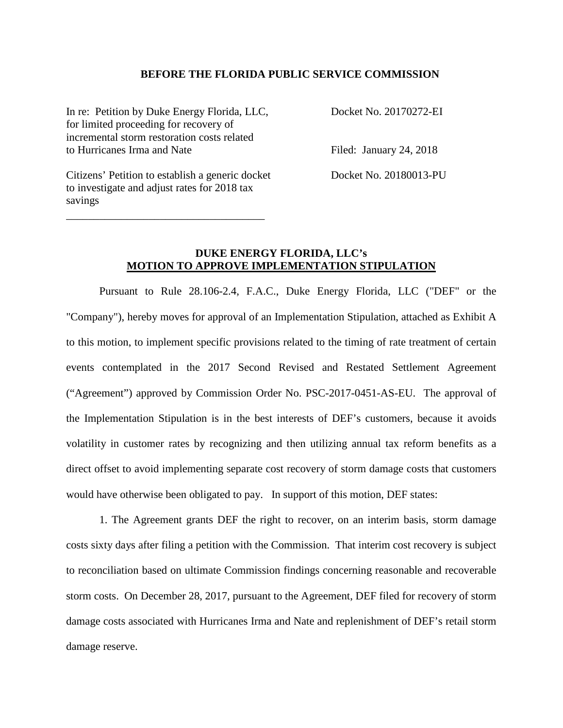### **BEFORE THE FLORIDA PUBLIC SERVICE COMMISSION**

In re: Petition by Duke Energy Florida, LLC, Docket No. 20170272-EI for limited proceeding for recovery of incremental storm restoration costs related to Hurricanes Irma and Nate Filed: January 24, 2018

Citizens' Petition to establish a generic docket Docket No. 20180013-PU to investigate and adjust rates for 2018 tax savings

\_\_\_\_\_\_\_\_\_\_\_\_\_\_\_\_\_\_\_\_\_\_\_\_\_\_\_\_\_\_\_\_\_\_\_\_

## **DUKE ENERGY FLORIDA, LLC's MOTION TO APPROVE IMPLEMENTATION STIPULATION**

Pursuant to Rule 28.106-2.4, F.A.C., Duke Energy Florida, LLC ("DEF" or the "Company"), hereby moves for approval of an Implementation Stipulation, attached as Exhibit A to this motion, to implement specific provisions related to the timing of rate treatment of certain events contemplated in the 2017 Second Revised and Restated Settlement Agreement ("Agreement") approved by Commission Order No. PSC-2017-0451-AS-EU. The approval of the Implementation Stipulation is in the best interests of DEF's customers, because it avoids volatility in customer rates by recognizing and then utilizing annual tax reform benefits as a direct offset to avoid implementing separate cost recovery of storm damage costs that customers would have otherwise been obligated to pay. In support of this motion, DEF states:

1. The Agreement grants DEF the right to recover, on an interim basis, storm damage costs sixty days after filing a petition with the Commission. That interim cost recovery is subject to reconciliation based on ultimate Commission findings concerning reasonable and recoverable storm costs. On December 28, 2017, pursuant to the Agreement, DEF filed for recovery of storm damage costs associated with Hurricanes Irma and Nate and replenishment of DEF's retail storm damage reserve.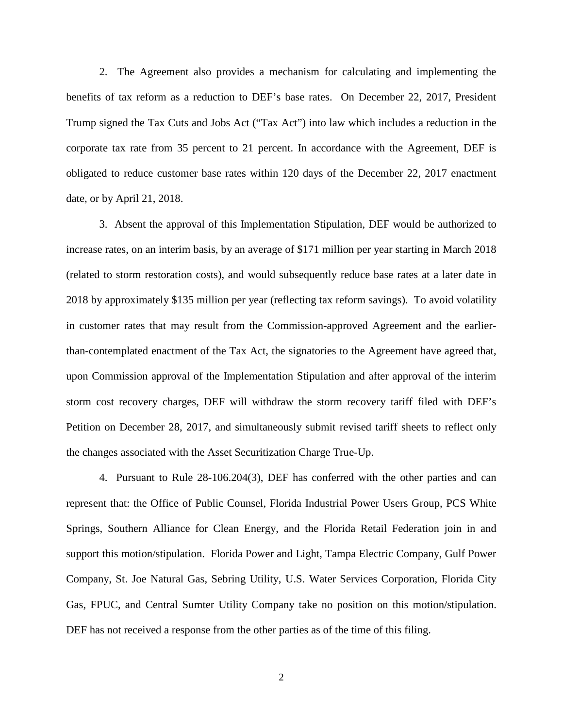2. The Agreement also provides a mechanism for calculating and implementing the benefits of tax reform as a reduction to DEF's base rates. On December 22, 2017, President Trump signed the Tax Cuts and Jobs Act ("Tax Act") into law which includes a reduction in the corporate tax rate from 35 percent to 21 percent. In accordance with the Agreement, DEF is obligated to reduce customer base rates within 120 days of the December 22, 2017 enactment date, or by April 21, 2018.

3. Absent the approval of this Implementation Stipulation, DEF would be authorized to increase rates, on an interim basis, by an average of \$171 million per year starting in March 2018 (related to storm restoration costs), and would subsequently reduce base rates at a later date in 2018 by approximately \$135 million per year (reflecting tax reform savings). To avoid volatility in customer rates that may result from the Commission-approved Agreement and the earlierthan-contemplated enactment of the Tax Act, the signatories to the Agreement have agreed that, upon Commission approval of the Implementation Stipulation and after approval of the interim storm cost recovery charges, DEF will withdraw the storm recovery tariff filed with DEF's Petition on December 28, 2017, and simultaneously submit revised tariff sheets to reflect only the changes associated with the Asset Securitization Charge True-Up.

 4. Pursuant to Rule 28-106.204(3), DEF has conferred with the other parties and can represent that: the Office of Public Counsel, Florida Industrial Power Users Group, PCS White Springs, Southern Alliance for Clean Energy, and the Florida Retail Federation join in and support this motion/stipulation. Florida Power and Light, Tampa Electric Company, Gulf Power Company, St. Joe Natural Gas, Sebring Utility, U.S. Water Services Corporation, Florida City Gas, FPUC, and Central Sumter Utility Company take no position on this motion/stipulation. DEF has not received a response from the other parties as of the time of this filing.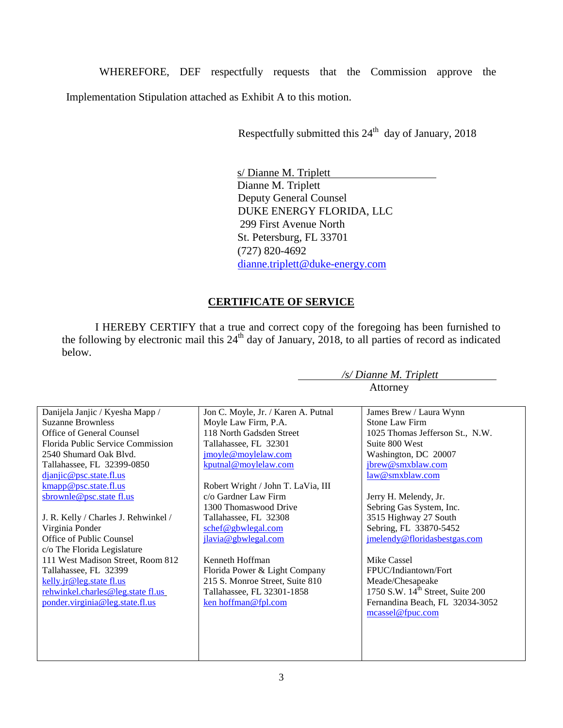WHEREFORE, DEF respectfully requests that the Commission approve the Implementation Stipulation attached as Exhibit A to this motion.

Respectfully submitted this  $24<sup>th</sup>$  day of January, 2018

s/ Dianne M. Triplett Dianne M. Triplett Deputy General Counsel DUKE ENERGY FLORIDA, LLC 299 First Avenue North St. Petersburg, FL 33701 (727) 820-4692 dianne.triplett@duke-energy.com

## **CERTIFICATE OF SERVICE**

I HEREBY CERTIFY that a true and correct copy of the foregoing has been furnished to the following by electronic mail this  $24<sup>th</sup>$  day of January, 2018, to all parties of record as indicated below.

| Danijela Janjic / Kyesha Mapp /      | Jon C. Moyle, Jr. / Karen A. Putnal | James Brew / Laura Wynn                      |
|--------------------------------------|-------------------------------------|----------------------------------------------|
| <b>Suzanne Brownless</b>             | Moyle Law Firm, P.A.                | Stone Law Firm                               |
| Office of General Counsel            | 118 North Gadsden Street            | 1025 Thomas Jefferson St., N.W.              |
| Florida Public Service Commission    | Tallahassee, FL 32301               | Suite 800 West                               |
| 2540 Shumard Oak Blyd.               | jmoyle@moylelaw.com                 | Washington, DC 20007                         |
| Tallahassee, FL 32399-0850           | kputnal@moylelaw.com                | jbrew@smxblaw.com                            |
| $d$ <i>janjic@psc.state.fl.us</i>    |                                     | law@smxblaw.com                              |
| kmapp@psc.state.fl.us                | Robert Wright / John T. LaVia, III  |                                              |
| sbrownle@psc.state fl.us             | c/o Gardner Law Firm                | Jerry H. Melendy, Jr.                        |
|                                      | 1300 Thomaswood Drive               | Sebring Gas System, Inc.                     |
| J. R. Kelly / Charles J. Rehwinkel / | Tallahassee, FL 32308               | 3515 Highway 27 South                        |
| Virginia Ponder                      | schef@gbwlegal.com                  | Sebring, FL 33870-5452                       |
| Office of Public Counsel             | jlavia@gbwlegal.com                 | jmelendy@floridasbestgas.com                 |
| c/o The Florida Legislature          |                                     |                                              |
| 111 West Madison Street, Room 812    | Kenneth Hoffman                     | Mike Cassel                                  |
| Tallahassee, FL 32399                | Florida Power & Light Company       | FPUC/Indiantown/Fort                         |
| kelly.jr@leg.state fl.us             | 215 S. Monroe Street, Suite 810     | Meade/Chesapeake                             |
| rehwinkel.charles@leg.state fl.us    | Tallahassee, FL 32301-1858          | 1750 S.W. 14 <sup>th</sup> Street, Suite 200 |
| ponder.virginia@leg.state.fl.us      | ken hoffman@fpl.com                 | Fernandina Beach, FL 32034-3052              |
|                                      |                                     | mcassel@fpuc.com                             |
|                                      |                                     |                                              |
|                                      |                                     |                                              |
|                                      |                                     |                                              |
|                                      |                                     |                                              |

*/s/ Dianne M. Triplett* 

Attorney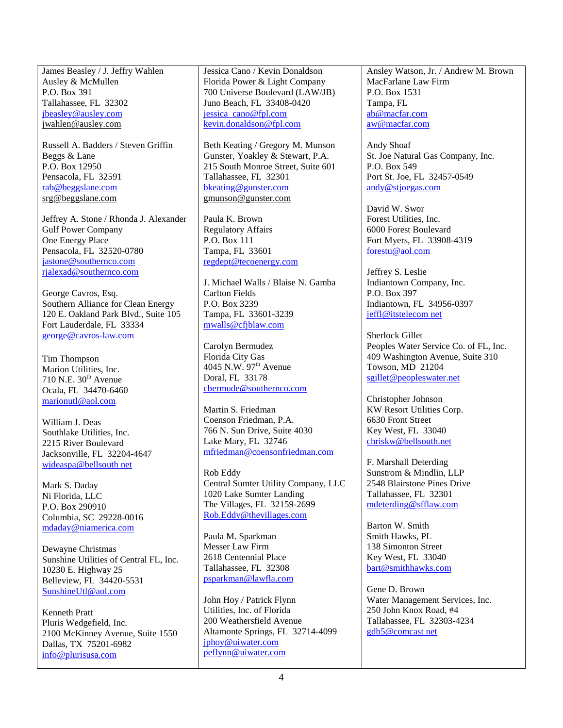James Beasley / J. Jeffry Wahlen Ausley & McMullen P.O. Box 391 Tallahassee, FL 32302 jbeasley@ausley.com jwahlen@ausley.com

Russell A. Badders / Steven Griffin Beggs & Lane P.O. Box 12950 Pensacola, FL 32591 rab@beggslane.com srg@beggslane.com

Jeffrey A. Stone / Rhonda J. Alexander Gulf Power Company One Energy Place Pensacola, FL 32520-0780 jastone@southernco.com rjalexad@southernco.com

George Cavros, Esq. Southern Alliance for Clean Energy 120 E. Oakland Park Blvd., Suite 105 Fort Lauderdale, FL 33334 george@cavros-law.com

Tim Thompson Marion Utilities, Inc.  $710$  N.E.  $30<sup>th</sup>$  Avenue Ocala, FL 34470-6460 marionutl@aol.com

William J. Deas Southlake Utilities, Inc. 2215 River Boulevard Jacksonville, FL 32204-4647 wjdeaspa@bellsouth net

Mark S. Daday Ni Florida, LLC P.O. Box 290910 Columbia, SC 29228-0016 mdaday@niamerica.com

Dewayne Christmas Sunshine Utilities of Central FL, Inc. 10230 E. Highway 25 Belleview, FL 34420-5531 SunshineUtl@aol.com

Kenneth Pratt Pluris Wedgefield, Inc. 2100 McKinney Avenue, Suite 1550 Dallas, TX 75201-6982 info@plurisusa.com

Jessica Cano / Kevin Donaldson Florida Power & Light Company 700 Universe Boulevard (LAW/JB) Juno Beach, FL 33408-0420 jessica cano@fpl.com kevin.donaldson@fpl.com

Beth Keating / Gregory M. Munson Gunster, Yoakley & Stewart, P.A. 215 South Monroe Street, Suite 601 Tallahassee, FL 32301 bkeating@gunster.com gmunson@gunster.com

Paula K. Brown Regulatory Affairs P.O. Box 111 Tampa, FL 33601 regdept@tecoenergy.com

J. Michael Walls / Blaise N. Gamba Carlton Fields P.O. Box 3239 Tampa, FL 33601-3239 mwalls@cfjblaw.com

Carolyn Bermudez Florida City Gas  $4045$  N.W.  $97<sup>th</sup>$  Avenue Doral, FL 33178 cbermude@southernco.com

Martin S. Friedman Coenson Friedman, P.A. 766 N. Sun Drive, Suite 4030 Lake Mary, FL 32746 mfriedman@coensonfriedman.com

Rob Eddy Central Sumter Utility Company, LLC 1020 Lake Sumter Landing The Villages, FL 32159-2699 Rob.Eddy@thevillages.com

Paula M. Sparkman Messer Law Firm 2618 Centennial Place Tallahassee, FL 32308 psparkman@lawfla.com

John Hoy / Patrick Flynn Utilities, Inc. of Florida 200 Weathersfield Avenue Altamonte Springs, FL 32714-4099 jphoy@uiwater.com peflynn@uiwater.com

Ansley Watson, Jr. / Andrew M. Brown MacFarlane Law Firm P.O. Box 1531 Tampa, FL ab@macfar.com aw@macfar.com

Andy Shoaf St. Joe Natural Gas Company, Inc. P.O. Box 549 Port St. Joe, FL 32457-0549 andy@stjoegas.com

David W. Swor Forest Utilities, Inc. 6000 Forest Boulevard Fort Myers, FL 33908-4319 forestu@aol.com

Jeffrey S. Leslie Indiantown Company, Inc. P.O. Box 397 Indiantown, FL 34956-0397 jeffl@itstelecom net

Sherlock Gillet Peoples Water Service Co. of FL, Inc. 409 Washington Avenue, Suite 310 Towson, MD 21204 sgillet@peopleswater.net

Christopher Johnson KW Resort Utilities Corp. 6630 Front Street Key West, FL 33040 chriskw@bellsouth.net

F. Marshall Deterding Sunstrom & Mindlin, LLP 2548 Blairstone Pines Drive Tallahassee, FL 32301 mdeterding@sfflaw.com

Barton W. Smith Smith Hawks, PL 138 Simonton Street Key West, FL 33040 bart@smithhawks.com

Gene D. Brown Water Management Services, Inc. 250 John Knox Road, #4 Tallahassee, FL 32303-4234 gdb5@comcast net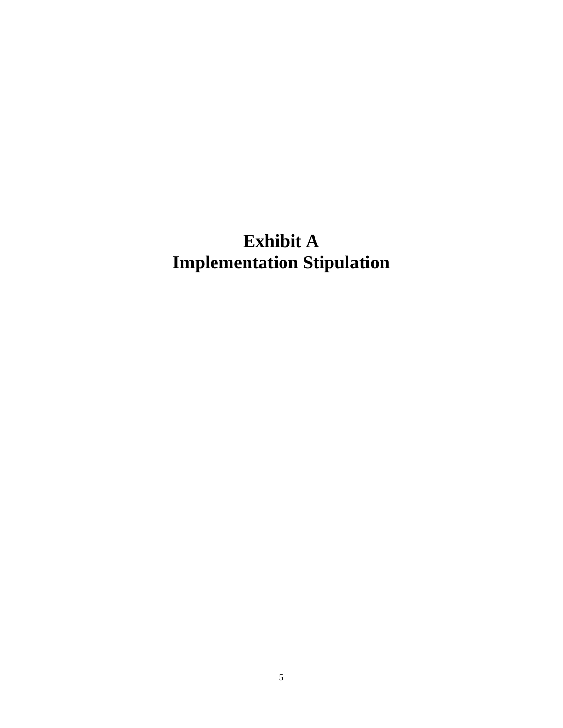# **Exhibit A Implementation Stipulation**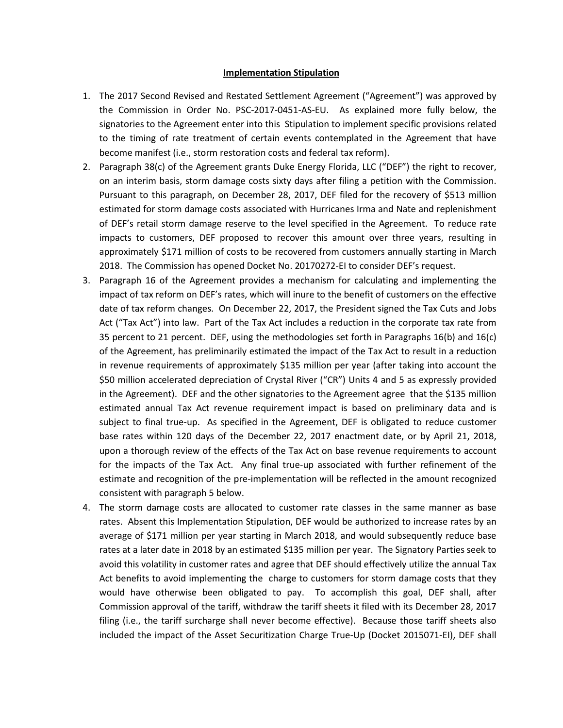#### **Implementation Stipulation**

- 1. The 2017 Second Revised and Restated Settlement Agreement ("Agreement") was approved by the Commission in Order No. PSC-2017-0451-AS-EU. As explained more fully below, the signatories to the Agreement enter into this Stipulation to implement specific provisions related to the timing of rate treatment of certain events contemplated in the Agreement that have become manifest (i.e., storm restoration costs and federal tax reform).
- 2. Paragraph 38(c) of the Agreement grants Duke Energy Florida, LLC ("DEF") the right to recover, on an interim basis, storm damage costs sixty days after filing a petition with the Commission. Pursuant to this paragraph, on December 28, 2017, DEF filed for the recovery of \$513 million estimated for storm damage costs associated with Hurricanes Irma and Nate and replenishment of DEF's retail storm damage reserve to the level specified in the Agreement. To reduce rate impacts to customers, DEF proposed to recover this amount over three years, resulting in approximately \$171 million of costs to be recovered from customers annually starting in March 2018. The Commission has opened Docket No. 20170272-EI to consider DEF's request.
- 3. Paragraph 16 of the Agreement provides a mechanism for calculating and implementing the impact of tax reform on DEF's rates, which will inure to the benefit of customers on the effective date of tax reform changes. On December 22, 2017, the President signed the Tax Cuts and Jobs Act ("Tax Act") into law. Part of the Tax Act includes a reduction in the corporate tax rate from 35 percent to 21 percent. DEF, using the methodologies set forth in Paragraphs 16(b) and 16(c) of the Agreement, has preliminarily estimated the impact of the Tax Act to result in a reduction in revenue requirements of approximately \$135 million per year (after taking into account the \$50 million accelerated depreciation of Crystal River ("CR") Units 4 and 5 as expressly provided in the Agreement). DEF and the other signatories to the Agreement agree that the \$135 million estimated annual Tax Act revenue requirement impact is based on preliminary data and is subject to final true-up. As specified in the Agreement, DEF is obligated to reduce customer base rates within 120 days of the December 22, 2017 enactment date, or by April 21, 2018, upon a thorough review of the effects of the Tax Act on base revenue requirements to account for the impacts of the Tax Act. Any final true-up associated with further refinement of the estimate and recognition of the pre-implementation will be reflected in the amount recognized consistent with paragraph 5 below.
- 4. The storm damage costs are allocated to customer rate classes in the same manner as base rates. Absent this Implementation Stipulation, DEF would be authorized to increase rates by an average of \$171 million per year starting in March 2018, and would subsequently reduce base rates at a later date in 2018 by an estimated \$135 million per year. The Signatory Parties seek to avoid this volatility in customer rates and agree that DEF should effectively utilize the annual Tax Act benefits to avoid implementing the charge to customers for storm damage costs that they would have otherwise been obligated to pay. To accomplish this goal, DEF shall, after Commission approval of the tariff, withdraw the tariff sheets it filed with its December 28, 2017 filing (i.e., the tariff surcharge shall never become effective). Because those tariff sheets also included the impact of the Asset Securitization Charge True-Up (Docket 2015071-EI), DEF shall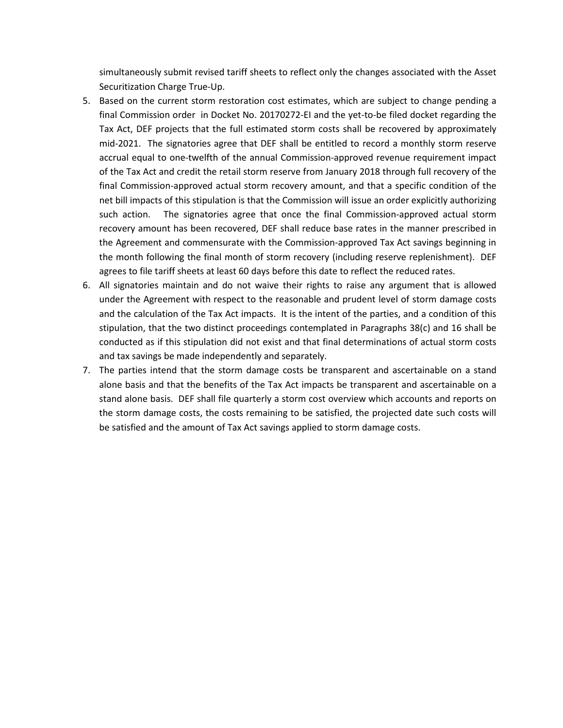simultaneously submit revised tariff sheets to reflect only the changes associated with the Asset Securitization Charge True-Up.

- 5. Based on the current storm restoration cost estimates, which are subject to change pending a final Commission order in Docket No. 20170272-EI and the yet-to-be filed docket regarding the Tax Act, DEF projects that the full estimated storm costs shall be recovered by approximately mid-2021. The signatories agree that DEF shall be entitled to record a monthly storm reserve accrual equal to one-twelfth of the annual Commission-approved revenue requirement impact of the Tax Act and credit the retail storm reserve from January 2018 through full recovery of the final Commission-approved actual storm recovery amount, and that a specific condition of the net bill impacts of this stipulation is that the Commission will issue an order explicitly authorizing such action. The signatories agree that once the final Commission-approved actual storm recovery amount has been recovered, DEF shall reduce base rates in the manner prescribed in the Agreement and commensurate with the Commission-approved Tax Act savings beginning in the month following the final month of storm recovery (including reserve replenishment). DEF agrees to file tariff sheets at least 60 days before this date to reflect the reduced rates.
- 6. All signatories maintain and do not waive their rights to raise any argument that is allowed under the Agreement with respect to the reasonable and prudent level of storm damage costs and the calculation of the Tax Act impacts. It is the intent of the parties, and a condition of this stipulation, that the two distinct proceedings contemplated in Paragraphs 38(c) and 16 shall be conducted as if this stipulation did not exist and that final determinations of actual storm costs and tax savings be made independently and separately.
- 7. The parties intend that the storm damage costs be transparent and ascertainable on a stand alone basis and that the benefits of the Tax Act impacts be transparent and ascertainable on a stand alone basis. DEF shall file quarterly a storm cost overview which accounts and reports on the storm damage costs, the costs remaining to be satisfied, the projected date such costs will be satisfied and the amount of Tax Act savings applied to storm damage costs.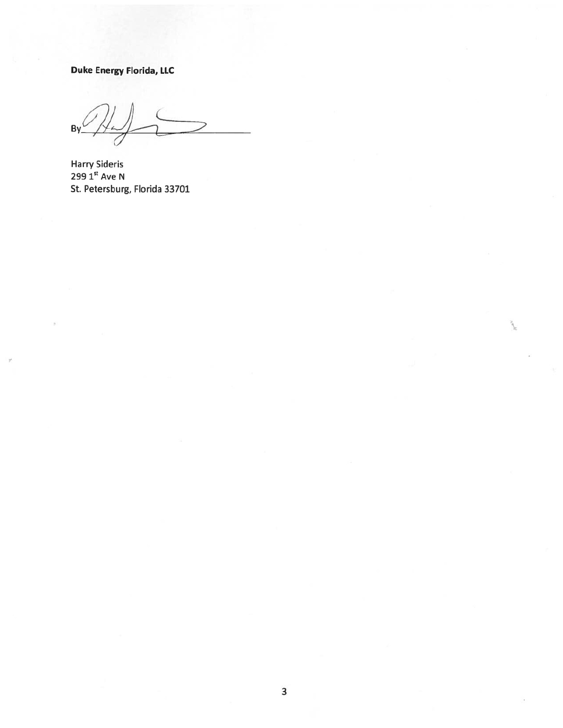**Duke Energy Florida, LLC** 

 $By<sup>1</sup>$ 

Harry Sideris 299 1<sup>st</sup> Ave N St. Petersburg, Florida 33701

*r*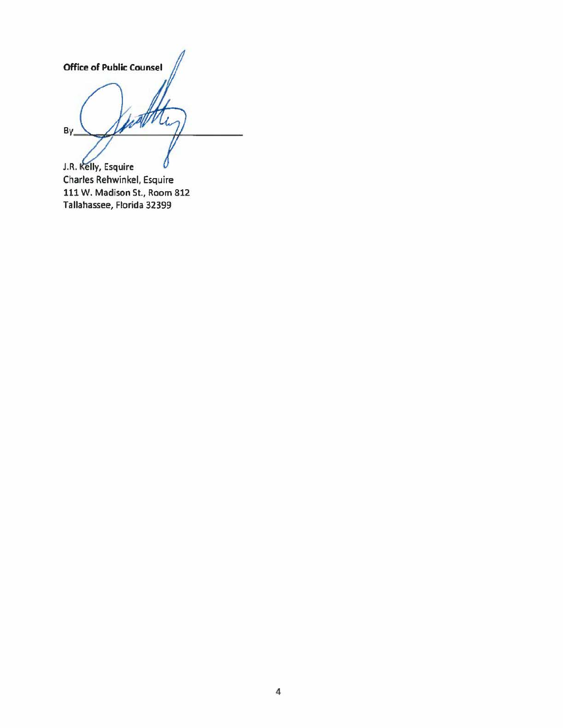Office of Public Counsel  $By$ 

J.R. Kelly, Esquire Charles Rehwinkel, Esquire 111 W. Madison St., Room 812 Tallahassee, Florida 32399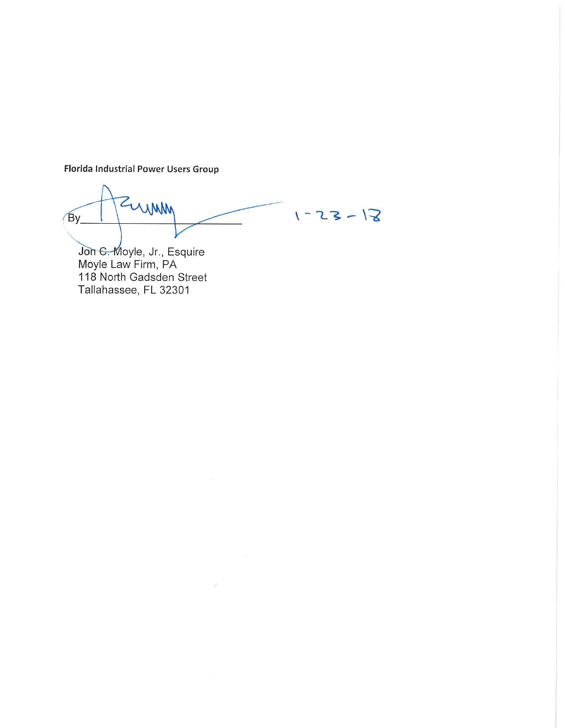Florida Industrial Power Users Group

ZUMM  $By$  $1 - 25 - 18$ 

oyle, Jr., Esquire Mayle Law Firm, PA 118 North Gadsden Street Tallahassee, FL 32301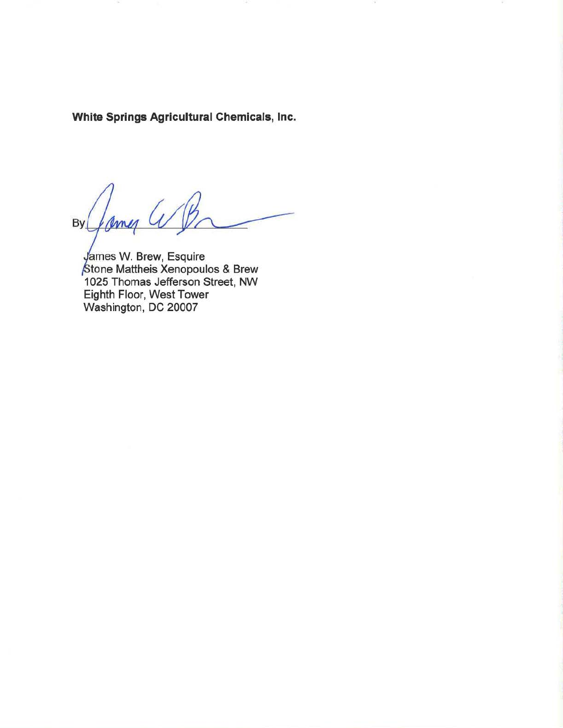White Springs Agricultural Chemicals, Inc.

ames By

ames W. Brew, Esquire tone Mattheis Xenopoulos & Brew 1 025 Thomas Jefferson Street, NW Eighth Floor, West Tower Washington, DC 20007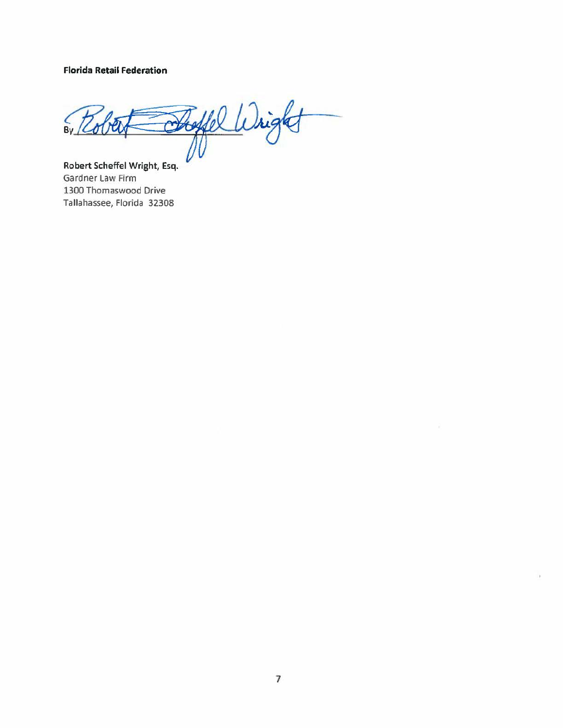**Florida Retail Federation** 

By Robert Shoffel Wright  $\frac{2}{10}$ 

Gardner Law Firm 1300 Thomaswood Drive Tallahassee, Florida 32308